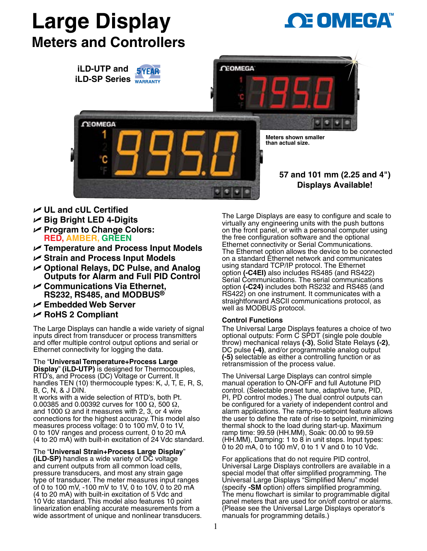# **Large Display Meters and Controllers**





- U **UL and cUL Certified**
- U **Big Bright LED 4-Digits**
- U **Program to Change Colors: RED, AMBER, GREEN**
- U **Temperature and Process Input Models**
- U **Strain and Process Input Models**
- U **Optional Relays, DC Pulse, and Analog Outputs for Alarm and Full PID Control**
- U **Communications Via Ethernet, RS232, RS485, and MODBUS®**
- U **Embedded Web Server**
- U **RoHS 2 Compliant**

The Large Displays can handle a wide variety of signal inputs direct from transducer or process transmitters and offer multiple control output options and serial or Ethernet connectivity for logging the data.

The "**Universal Temperature+Process Large Display**" **(iLD-UTP)** is designed for Thermocouples, RTD's, and Process (DC) Voltage or Current. It handles TEN (10) thermocouple types: K, J, T, E, R, S, B, C, N, & J DIN.

It works with a wide selection of RTD's, both Pt.<br>0.00385 and 0.00392 curves for 100  $\Omega$ , 500  $\Omega$ , and 1000  $\Omega$  and it measures with 2, 3, or 4 wire connections for the highest accuracy. This model also measures process voltage: 0 to 100 mV, 0 to 1V, 0 to 10V ranges and process current, 0 to 20 mA (4 to 20 mA) with built-in excitation of 24 Vdc standard.

The "**Universal Strain+Process Large Display**" **(iLD-SP)** handles a wide variety of DC voltage and current outputs from all common load cells, pressure transducers, and most any strain gage type of transducer. The meter measures input ranges of 0 to 100 mV, -100 mV to 1V, 0 to 10V, 0 to 20 mA (4 to 20 mA) with built-in excitation of 5 Vdc and 10 Vdc standard. This model also features 10 point linearization enabling accurate measurements from a wide assortment of unique and nonlinear transducers. The Large Displays are easy to configure and scale to virtually any engineering units with the push buttons on the front panel, or with a personal computer using the free configuration software and the optional Ethernet connectivity or Serial Communications. The Ethernet option allows the device to be connected on a standard Ethernet network and communicates using standard TCP/IP protocol. The Ethernet option **(-C4EI)** also includes RS485 (and RS422) Serial Communications. The serial communications option **(-C24)** includes both RS232 and RS485 (and RS422) on one instrument. It communicates with a straightforward ASCII communications protocol, as well as MODBUS protocol.

# **Control Functions**

The Universal Large Displays features a choice of two optional outputs: Form C SPDT (single pole double throw) mechanical relays **(-3)**, Solid State Relays **(-2)**, DC pulse **(-4)**, and/or programmable analog output **(-5)** selectable as either a controlling function or as retransmission of the process value.

The Universal Large Displays can control simple manual operation to ON-OFF and full Autotune PID control. (Selectable preset tune, adaptive tune, PID, PI, PD control modes.) The dual control outputs can be configured for a variety of independent control and alarm applications. The ramp-to-setpoint feature allows the user to define the rate of rise to setpoint, minimizing thermal shock to the load during start-up. Maximum ramp time: 99.59 (HH.MM), Soak: 00.00 to 99.59  $(HH.MM)$ , Damping: 1 to 8 in unit steps. Input types:  $\dot{\text{o}}$  to 20 mA, 0 to 100 mV, 0 to 1 V and 0 to 10 Vdc.

For applications that do not require PID control, Universal Large Displays controllers are available in a special model that offer simplified programming. The Universal Large Displays "Simplified Menu" model (specify **-SM** option) offers simplified programming. The menu flowchart is similar to programmable digital panel meters that are used for on/off control or alarms. (Please see the Universal Large Displays operator's manuals for programming details.)